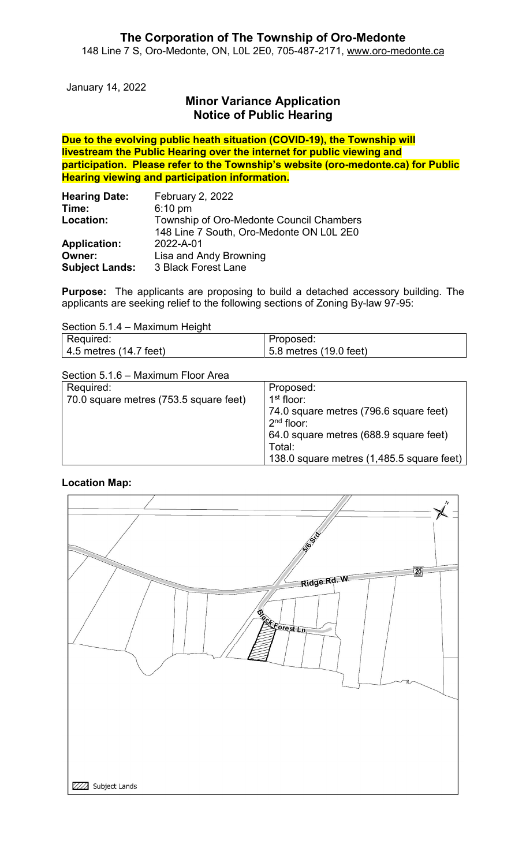January 14, 2022

# Minor Variance Application Notice of Public Hearing

Due to the evolving public heath situation (COVID-19), the Township will livestream the Public Hearing over the internet for public viewing and participation. Please refer to the Township's website (oro-medonte.ca) for Public Hearing viewing and participation information.

| <b>Hearing Date:</b>  | <b>February 2, 2022</b>                  |  |
|-----------------------|------------------------------------------|--|
| Time:                 | $6:10 \text{ pm}$                        |  |
| Location:             | Township of Oro-Medonte Council Chambers |  |
|                       | 148 Line 7 South, Oro-Medonte ON L0L 2E0 |  |
| <b>Application:</b>   | 2022-A-01                                |  |
| Owner:                | Lisa and Andy Browning                   |  |
| <b>Subject Lands:</b> | 3 Black Forest Lane                      |  |

Purpose: The applicants are proposing to build a detached accessory building. The applicants are seeking relief to the following sections of Zoning By-law 97-95:

| Section 5.1.4 – Maximum Height |                        |  |
|--------------------------------|------------------------|--|
| Required:                      | Proposed:              |  |
| $\vert$ 4.5 metres (14.7 feet) | 5.8 metres (19.0 feet) |  |

Section 5.1.6 – Maximum Floor Area

| Required:                              | Proposed:                                 |
|----------------------------------------|-------------------------------------------|
| 70.0 square metres (753.5 square feet) | 1 <sup>st</sup> floor:                    |
|                                        | 74.0 square metres (796.6 square feet)    |
|                                        | $2nd$ floor:                              |
|                                        | 64.0 square metres (688.9 square feet)    |
|                                        | Total:                                    |
|                                        | 138.0 square metres (1,485.5 square feet) |

### Location Map:

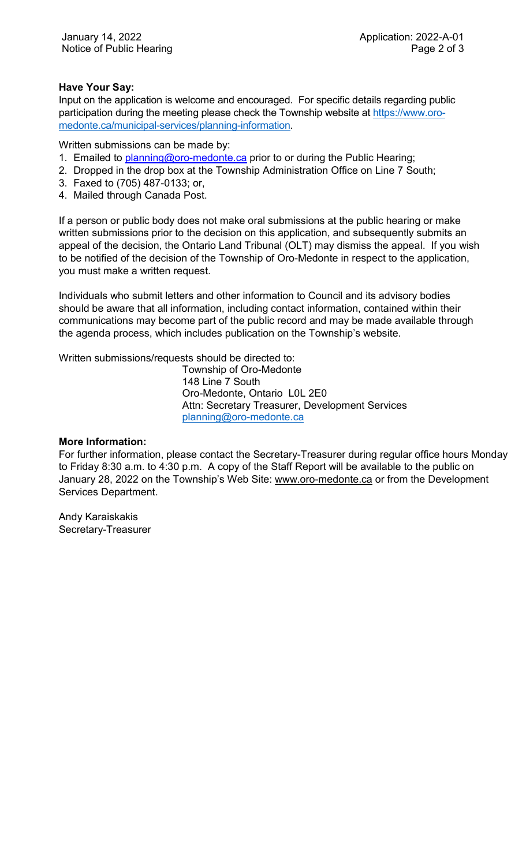### Have Your Say:

Input on the application is welcome and encouraged. For specific details regarding public participation during the meeting please check the Township website at https://www.oromedonte.ca/municipal-services/planning-information.

Written submissions can be made by:

- 1. Emailed to **planning@oro-medonte.ca** prior to or during the Public Hearing;
- 2. Dropped in the drop box at the Township Administration Office on Line 7 South;
- 3. Faxed to (705) 487-0133; or,
- 4. Mailed through Canada Post.

If a person or public body does not make oral submissions at the public hearing or make written submissions prior to the decision on this application, and subsequently submits an appeal of the decision, the Ontario Land Tribunal (OLT) may dismiss the appeal. If you wish to be notified of the decision of the Township of Oro-Medonte in respect to the application, you must make a written request.

Individuals who submit letters and other information to Council and its advisory bodies should be aware that all information, including contact information, contained within their communications may become part of the public record and may be made available through the agenda process, which includes publication on the Township's website.

Written submissions/requests should be directed to:

Township of Oro-Medonte 148 Line 7 South Oro-Medonte, Ontario L0L 2E0 Attn: Secretary Treasurer, Development Services planning@oro-medonte.ca

#### More Information:

For further information, please contact the Secretary-Treasurer during regular office hours Monday to Friday 8:30 a.m. to 4:30 p.m. A copy of the Staff Report will be available to the public on January 28, 2022 on the Township's Web Site: www.oro-medonte.ca or from the Development Services Department.

Andy Karaiskakis Secretary-Treasurer